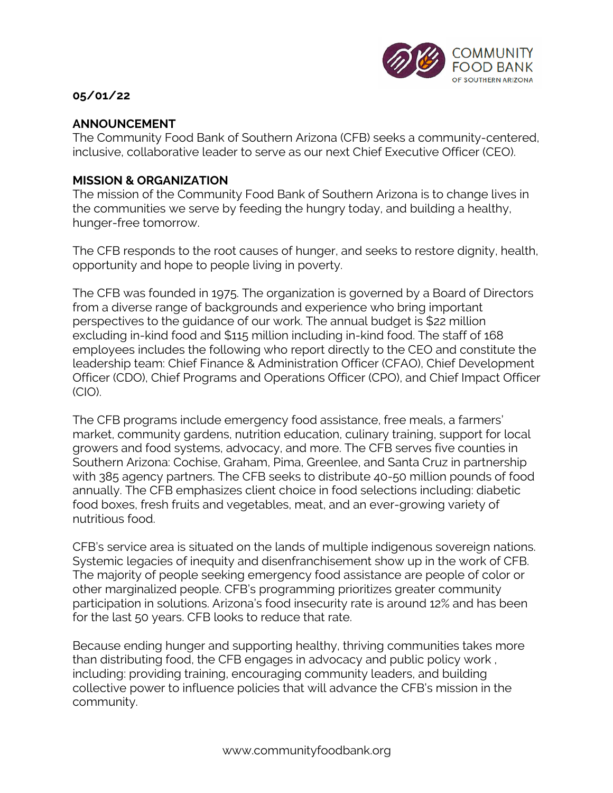

## **05/01/22**

## **ANNOUNCEMENT**

The Community Food Bank of Southern Arizona (CFB) seeks a community-centered, inclusive, collaborative leader to serve as our next Chief Executive Officer (CEO).

### **MISSION & ORGANIZATION**

The mission of the Community Food Bank of Southern Arizona is to change lives in the communities we serve by feeding the hungry today, and building a healthy, hunger-free tomorrow.

The CFB responds to the root causes of hunger, and seeks to restore dignity, health, opportunity and hope to people living in poverty.

The CFB was founded in 1975. The organization is governed by a Board of Directors from a diverse range of backgrounds and experience who bring important perspectives to the guidance of our work. The annual budget is \$22 million excluding in-kind food and \$115 million including in-kind food. The staff of 168 employees includes the following who report directly to the CEO and constitute the leadership team: Chief Finance & Administration Officer (CFAO), Chief Development Officer (CDO), Chief Programs and Operations Officer (CPO), and Chief Impact Officer (CIO).

The CFB programs include emergency food assistance, free meals, a farmers' market, community gardens, nutrition education, culinary training, support for local growers and food systems, advocacy, and more. The CFB serves five counties in Southern Arizona: Cochise, Graham, Pima, Greenlee, and Santa Cruz in partnership with 385 agency partners. The CFB seeks to distribute 40-50 million pounds of food annually. The CFB emphasizes client choice in food selections including: diabetic food boxes, fresh fruits and vegetables, meat, and an ever-growing variety of nutritious food.

CFB's service area is situated on the lands of multiple indigenous sovereign nations. Systemic legacies of inequity and disenfranchisement show up in the work of CFB. The majority of people seeking emergency food assistance are people of color or other marginalized people. CFB's programming prioritizes greater community participation in solutions. Arizona's food insecurity rate is around 12% and has been for the last 50 years. CFB looks to reduce that rate.

Because ending hunger and supporting healthy, thriving communities takes more than distributing food, the CFB engages in advocacy and public policy work , including: providing training, encouraging community leaders, and building collective power to influence policies that will advance the CFB's mission in the community.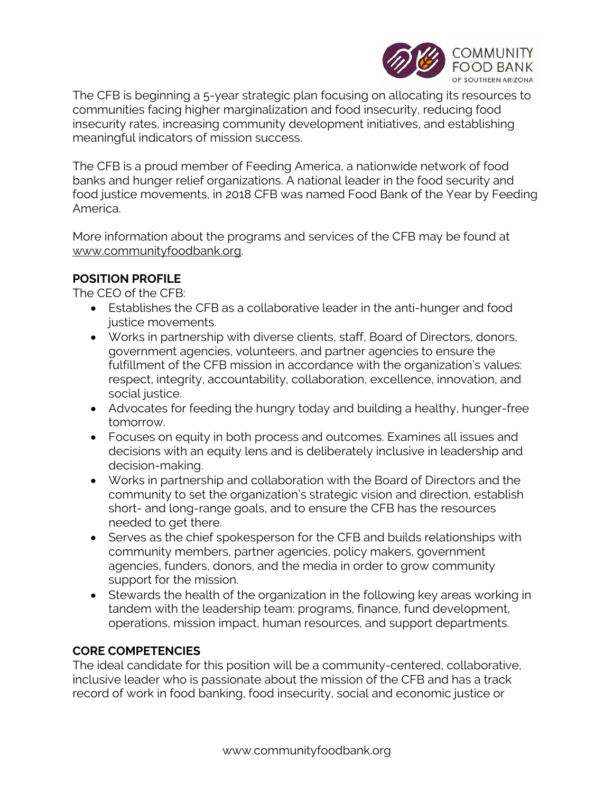

The CFB is beginning a 5-year strategic plan focusing on allocating its resources to communities facing higher marginalization and food insecurity, reducing food insecurity rates, increasing community development initiatives, and establishing meaningful indicators of mission success.

The CFB is a proud member of Feeding America, a nationwide network of food banks and hunger relief organizations. A national leader in the food security and food justice movements, in 2018 CFB was named Food Bank of the Year by Feeding America.

More information about the programs and services of the CFB may be found at www.communityfoodbank.org.

## **POSITION PROFILE**

The CEO of the CFB:

- Establishes the CFB as a collaborative leader in the anti-hunger and food justice movements.
- Works in partnership with diverse clients, staff, Board of Directors, donors, government agencies, volunteers, and partner agencies to ensure the fulfillment of the CFB mission in accordance with the organization's values: respect, integrity, accountability, collaboration, excellence, innovation, and social justice.
- Advocates for feeding the hungry today and building a healthy, hunger-free tomorrow.
- Focuses on equity in both process and outcomes. Examines all issues and decisions with an equity lens and is deliberately inclusive in leadership and decision-making.
- Works in partnership and collaboration with the Board of Directors and the community to set the organization's strategic vision and direction, establish short- and long-range goals, and to ensure the CFB has the resources needed to get there.
- Serves as the chief spokesperson for the CFB and builds relationships with community members, partner agencies, policy makers, government agencies, funders, donors, and the media in order to grow community support for the mission.
- Stewards the health of the organization in the following key areas working in tandem with the leadership team: programs, finance, fund development, operations, mission impact, human resources, and support departments.

# **CORE COMPETENCIES**

The ideal candidate for this position will be a community-centered, collaborative, inclusive leader who is passionate about the mission of the CFB and has a track record of work in food banking, food insecurity, social and economic justice or